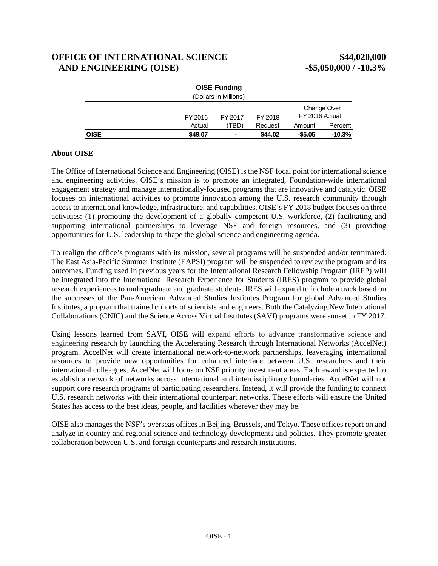# **OFFICE OF INTERNATIONAL SCIENCE \$44,020,000 AND ENGINEERING (OISE) -\$5,050,000 / -10.3%**

|             |         | <b>OISE Funding</b><br>(Dollars in Millions) |         |                |             |
|-------------|---------|----------------------------------------------|---------|----------------|-------------|
|             | FY 2016 | FY 2017                                      | FY 2018 | FY 2016 Actual | Change Over |
|             | Actual  | 'TBD)                                        | Request | Amount         | Percent     |
| <b>OISE</b> | \$49.07 |                                              | \$44.02 | $-$5.05$       | $-10.3%$    |

### **About OISE**

The Office of International Science and Engineering (OISE) is the NSF focal point for international science and engineering activities. OISE's mission is to promote an integrated, Foundation-wide international engagement strategy and manage internationally-focused programs that are innovative and catalytic. OISE focuses on international activities to promote innovation among the U.S. research community through access to international knowledge, infrastructure, and capabilities. OISE's FY 2018 budget focuses on three activities: (1) promoting the development of a globally competent U.S. workforce, (2) facilitating and supporting international partnerships to leverage NSF and foreign resources, and (3) providing opportunities for U.S. leadership to shape the global science and engineering agenda.

To realign the office's programs with its mission, several programs will be suspended and/or terminated. The East Asia-Pacific Summer Institute (EAPSI) program will be suspended to review the program and its outcomes. Funding used in previous years for the International Research Fellowship Program (IRFP) will be integrated into the International Research Experience for Students (IRES) program to provide global research experiences to undergraduate and graduate students. IRES will expand to include a track based on the successes of the Pan-American Advanced Studies Institutes Program for global Advanced Studies Institutes, a program that trained cohorts of scientists and engineers. Both the Catalyzing New International Collaborations (CNIC) and the Science Across Virtual Institutes (SAVI) programs were sunset in FY 2017.

Using lessons learned from SAVI, OISE will expand efforts to advance transformative science and engineering research by launching the Accelerating Research through International Networks (AccelNet) program. AccelNet will create international network-to-network partnerships, leaveraging international resources to provide new opportunities for enhanced interface between U.S. researchers and their international colleagues. AccelNet will focus on NSF priority investment areas. Each award is expected to establish a network of networks across international and interdisciplinary boundaries. AccelNet will not support core research programs of participating researchers. Instead, it will provide the funding to connect U.S. research networks with their international counterpart networks. These efforts will ensure the United States has access to the best ideas, people, and facilities wherever they may be.

OISE also manages the NSF's overseas offices in Beijing, Brussels, and Tokyo. These offices report on and analyze in-country and regional science and technology developments and policies. They promote greater collaboration between U.S. and foreign counterparts and research institutions.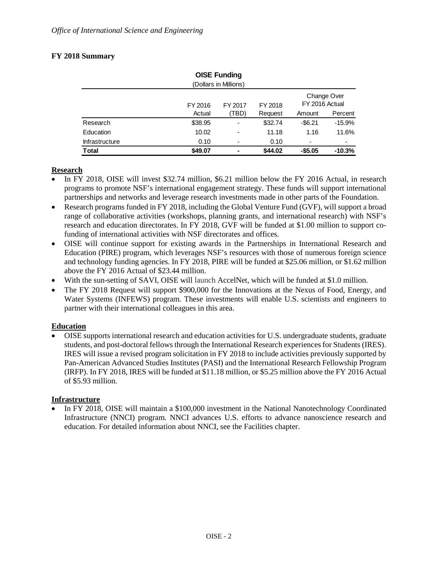# **FY 2018 Summary**

| <b>OISE Funding</b>   |         |         |         |                               |          |  |
|-----------------------|---------|---------|---------|-------------------------------|----------|--|
| (Dollars in Millions) |         |         |         |                               |          |  |
|                       | FY 2016 | FY 2017 | FY 2018 | Change Over<br>FY 2016 Actual |          |  |
|                       | Actual  | (TBD)   | Request | Amount                        | Percent  |  |
| Research              | \$38.95 | ۰       | \$32.74 | $-$6.21$                      | $-15.9%$ |  |
| Education             | 10.02   | ۰       | 11.18   | 1.16                          | 11.6%    |  |
| <b>Infrastructure</b> | 0.10    |         | 0.10    | ٠                             | ۰        |  |
| <b>Total</b>          | \$49.07 | ۰       | \$44.02 | $-$5.05$                      | $-10.3%$ |  |

### **Research**

- In FY 2018, OISE will invest \$32.74 million, \$6.21 million below the FY 2016 Actual, in research programs to promote NSF's international engagement strategy. These funds will support international partnerships and networks and leverage research investments made in other parts of the Foundation.
- Research programs funded in FY 2018, including the Global Venture Fund (GVF), will support a broad range of collaborative activities (workshops, planning grants, and international research) with NSF's research and education directorates. In FY 2018, GVF will be funded at \$1.00 million to support cofunding of international activities with NSF directorates and offices.
- OISE will continue support for existing awards in the Partnerships in International Research and Education (PIRE) program, which leverages NSF's resources with those of numerous foreign science and technology funding agencies. In FY 2018, PIRE will be funded at \$25.06 million, or \$1.62 million above the FY 2016 Actual of \$23.44 million.
- With the sun-setting of SAVI, OISE will launch AccelNet, which will be funded at \$1.0 million.
- The FY 2018 Request will support \$900,000 for the Innovations at the Nexus of Food, Energy, and Water Systems (INFEWS) program. These investments will enable U.S. scientists and engineers to partner with their international colleagues in this area.

### **Education**

• OISE supports international research and education activities for U.S. undergraduate students, graduate students, and post-doctoral fellows through the International Research experiences for Students (IRES). IRES will issue a revised program solicitation in FY 2018 to include activities previously supported by Pan-American Advanced Studies Institutes (PASI) and the International Research Fellowship Program (IRFP). In FY 2018, IRES will be funded at \$11.18 million, or \$5.25 million above the FY 2016 Actual of \$5.93 million.

### **Infrastructure**

In FY 2018, OISE will maintain a \$100,000 investment in the National Nanotechnology Coordinated Infrastructure (NNCI) program. NNCI advances U.S. efforts to advance nanoscience research and education. For detailed information about NNCI, see the Facilities chapter.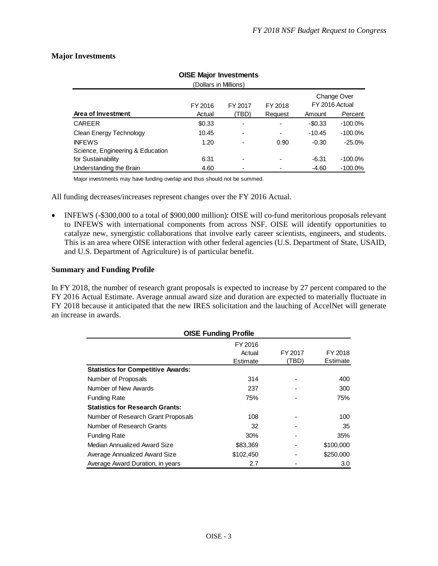# **Major Investments**

| <b>OISE Major Investments</b>    |         |                          |                          |                               |            |  |
|----------------------------------|---------|--------------------------|--------------------------|-------------------------------|------------|--|
| (Dollars in Millions)            |         |                          |                          |                               |            |  |
|                                  | FY 2016 | FY 2017                  | FY 2018                  | Change Over<br>FY 2016 Actual |            |  |
| Area of Investment               | Actual  | (TBD)                    | Request                  | Amount                        | Percent    |  |
| <b>CAREER</b>                    | \$0.33  | $\overline{\phantom{0}}$ |                          | $-$0.33$                      | $-100.0\%$ |  |
| Clean Energy Technology          | 10.45   |                          | $\overline{\phantom{0}}$ | $-10.45$                      | $-100.0\%$ |  |
| <b>INFEWS</b>                    | 1.20    |                          | 0.90                     | $-0.30$                       | $-25.0%$   |  |
| Science, Engineering & Education |         |                          |                          |                               |            |  |
| for Sustainability               | 6.31    | -                        | -                        | $-6.31$                       | $-100.0\%$ |  |
| Understanding the Brain          | 4.60    |                          |                          | $-4.60$                       | $-100.0\%$ |  |

Major investments may have funding overlap and thus should not be summed.

All funding decreases/increases represent changes over the FY 2016 Actual.

• INFEWS (-\$300,000 to a total of \$900,000 million): OISE will co-fund meritorious proposals relevant to INFEWS with international components from across NSF. OISE will identify opportunities to catalyze new, synergistic collaborations that involve early career scientists, engineers, and students. This is an area where OISE interaction with other federal agencies (U.S. Department of State, USAID, and U.S. Department of Agriculture) is of particular benefit.

### **Summary and Funding Profile**

In FY 2018, the number of research grant proposals is expected to increase by 27 percent compared to the FY 2016 Actual Estimate. Average annual award size and duration are expected to materially fluctuate in FY 2018 because it anticipated that the new IRES solicitation and the lauching of AccelNet will generate an increase in awards.

| <b>OISE Funding Profile</b>               |           |         |           |  |  |
|-------------------------------------------|-----------|---------|-----------|--|--|
|                                           | FY 2016   |         |           |  |  |
|                                           | Actual    | FY 2017 | FY 2018   |  |  |
|                                           | Estimate  | (TBD)   | Estimate  |  |  |
| <b>Statistics for Competitive Awards:</b> |           |         |           |  |  |
| Number of Proposals                       | 314       |         | 400       |  |  |
| Number of New Awards                      | 237       |         | 300       |  |  |
| <b>Funding Rate</b>                       | 75%       |         | 75%       |  |  |
| <b>Statistics for Research Grants:</b>    |           |         |           |  |  |
| Number of Research Grant Proposals        | 108       |         | 100       |  |  |
| Number of Research Grants                 | 32        |         | 35        |  |  |
| <b>Funding Rate</b>                       | 30%       |         | 35%       |  |  |
| Median Annualized Award Size              | \$83,369  |         | \$100,000 |  |  |
| Average Annualized Award Size             | \$102,450 |         | \$250,000 |  |  |
| Average Award Duration, in years          | 2.7       |         | 3.0       |  |  |